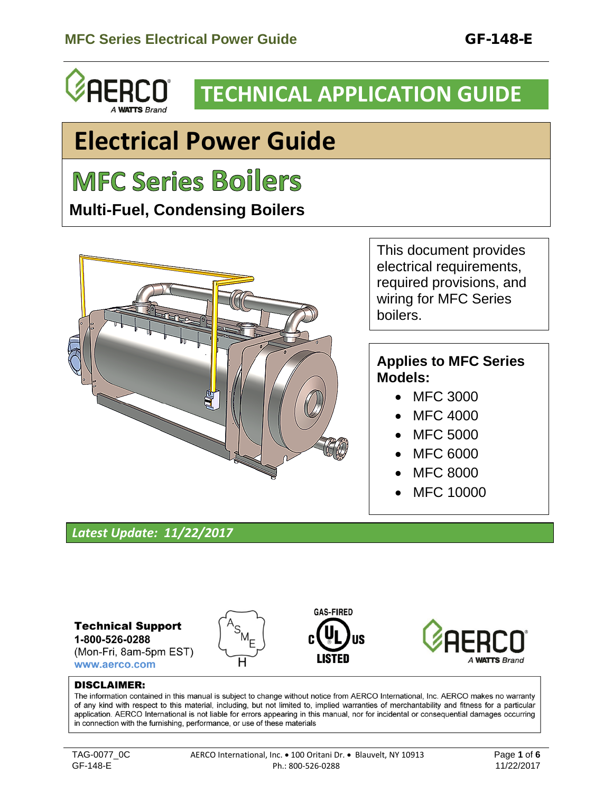

## **TECHNICAL APPLICATION GUIDE**

# **Electrical Power Guide**

# **MFC Series Boilers**

**Multi-Fuel, Condensing Boilers**



This document provides electrical requirements, required provisions, and wiring for MFC Series boilers.

#### **Applies to MFC Series Models:**

- MFC 3000
- MFC 4000
- MFC 5000
- MFC 6000
- MFC 8000
- MFC 10000

#### *Latest Update: 11/22/2017*

**Technical Support** 1-800-526-0288 (Mon-Fri, 8am-5pm EST) www.aerco.com







#### **DISCLAIMER:**

The information contained in this manual is subject to change without notice from AERCO International, Inc. AERCO makes no warranty of any kind with respect to this material, including, but not limited to, implied warranties of merchantability and fitness for a particular application. AERCO International is not liable for errors appearing in this manual, nor for incidental or consequential damages occurring in connection with the furnishing, performance, or use of these materials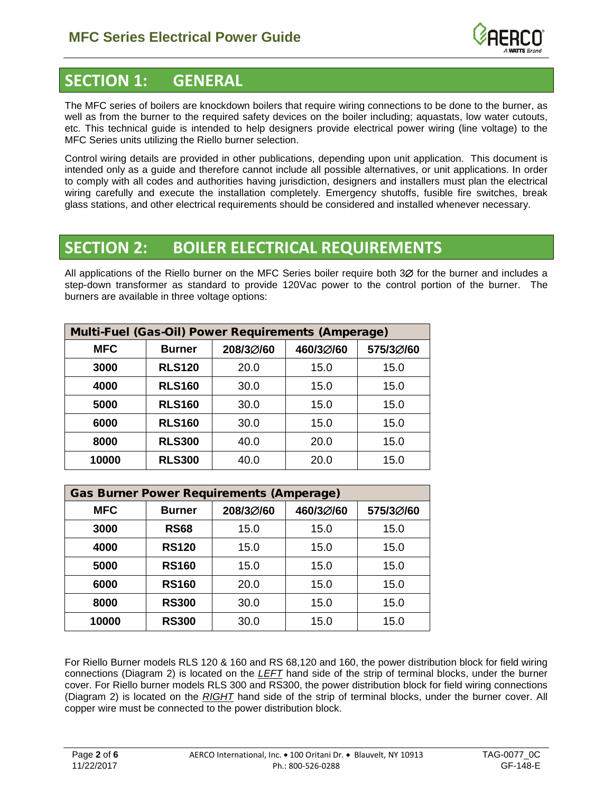

#### **SECTION 1: GENERAL**

The MFC series of boilers are knockdown boilers that require wiring connections to be done to the burner, as well as from the burner to the required safety devices on the boiler including; aquastats, low water cutouts, etc. This technical guide is intended to help designers provide electrical power wiring (line voltage) to the MFC Series units utilizing the Riello burner selection.

Control wiring details are provided in other publications, depending upon unit application. This document is intended only as a guide and therefore cannot include all possible alternatives, or unit applications. In order to comply with all codes and authorities having jurisdiction, designers and installers must plan the electrical wiring carefully and execute the installation completely. Emergency shutoffs, fusible fire switches, break glass stations, and other electrical requirements should be considered and installed whenever necessary.

### **SECTION 2: BOILER ELECTRICAL REQUIREMENTS**

All applications of the Riello burner on the MFC Series boiler require both 3∅ for the burner and includes a step-down transformer as standard to provide 120Vac power to the control portion of the burner. The burners are available in three voltage options:

| Multi-Fuel (Gas-Oil) Power Requirements (Amperage) |               |           |           |           |  |  |
|----------------------------------------------------|---------------|-----------|-----------|-----------|--|--|
| <b>MFC</b>                                         | <b>Burner</b> | 208/3Ø/60 | 460/3Ø/60 | 575/3Ø/60 |  |  |
| 3000                                               | <b>RLS120</b> | 20.0      | 15.0      | 15.0      |  |  |
| 4000                                               | <b>RLS160</b> | 30.0      | 15.0      | 15.0      |  |  |
| 5000                                               | <b>RLS160</b> | 30.0      | 15.0      | 15.0      |  |  |
| 6000                                               | <b>RLS160</b> | 30.0      | 15.0      | 15.0      |  |  |
| 8000                                               | <b>RLS300</b> | 40.0      | 20.0      | 15.0      |  |  |
| 10000                                              | <b>RLS300</b> | 40.0      | 20.0      | 15.0      |  |  |

| <b>Gas Burner Power Requirements (Amperage)</b> |               |           |           |           |  |  |
|-------------------------------------------------|---------------|-----------|-----------|-----------|--|--|
| <b>MFC</b>                                      | <b>Burner</b> | 208/3Ø/60 | 460/3Ø/60 | 575/3Ø/60 |  |  |
| 3000                                            | <b>RS68</b>   | 15.0      | 15.0      | 15.0      |  |  |
| 4000                                            | <b>RS120</b>  | 15.0      | 15.0      | 15.0      |  |  |
| 5000                                            | <b>RS160</b>  | 15.0      | 15.0      | 15.0      |  |  |
| 6000                                            | <b>RS160</b>  | 20.0      | 15.0      | 15.0      |  |  |
| 8000                                            | <b>RS300</b>  | 30.0      | 15.0      | 15.0      |  |  |
| 10000                                           | <b>RS300</b>  | 30.0      | 15.0      | 15.0      |  |  |

For Riello Burner models RLS 120 & 160 and RS 68,120 and 160, the power distribution block for field wiring connections (Diagram 2) is located on the *LEFT* hand side of the strip of terminal blocks, under the burner cover. For Riello burner models RLS 300 and RS300, the power distribution block for field wiring connections (Diagram 2) is located on the *RIGHT* hand side of the strip of terminal blocks, under the burner cover. All copper wire must be connected to the power distribution block.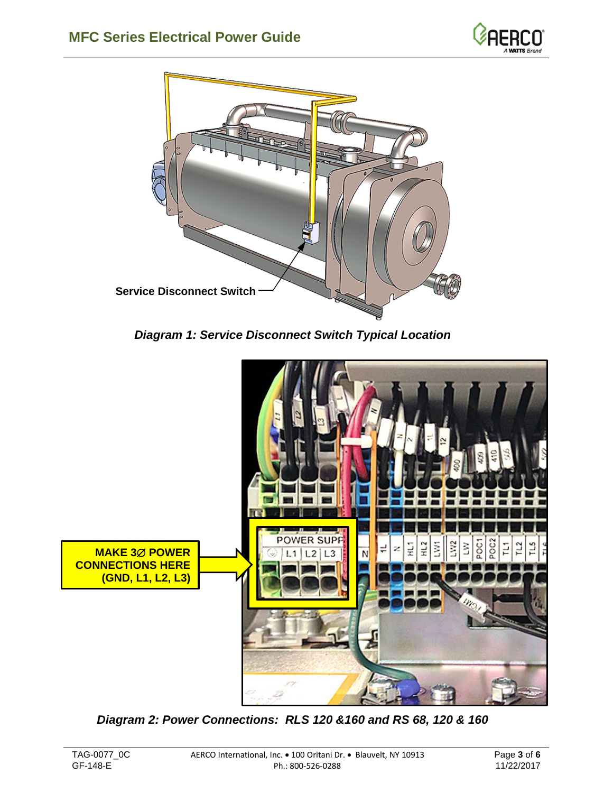



*Diagram 1: Service Disconnect Switch Typical Location*



*Diagram 2: Power Connections: RLS 120 &160 and RS 68, 120 & 160*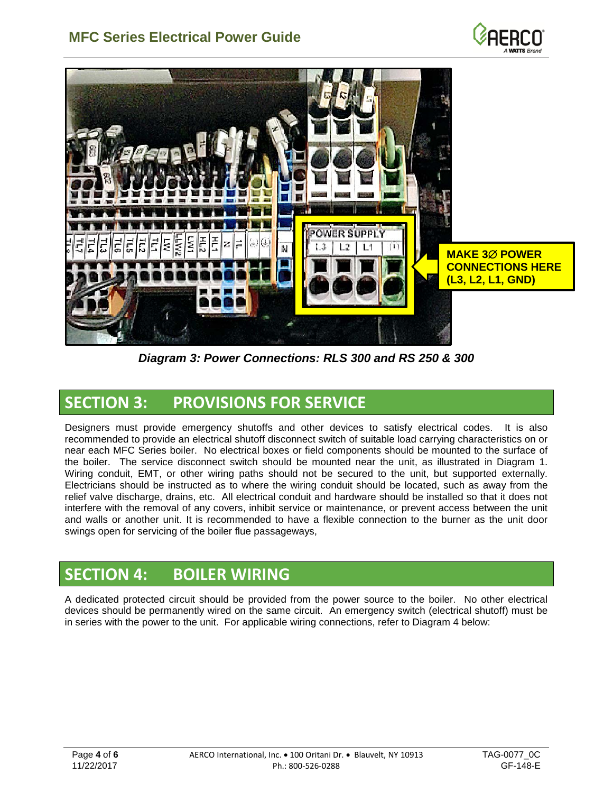#### **MFC Series Electrical Power Guide**





*Diagram 3: Power Connections: RLS 300 and RS 250 & 300*

### **SECTION 3: PROVISIONS FOR SERVICE**

Designers must provide emergency shutoffs and other devices to satisfy electrical codes. It is also recommended to provide an electrical shutoff disconnect switch of suitable load carrying characteristics on or near each MFC Series boiler. No electrical boxes or field components should be mounted to the surface of the boiler. The service disconnect switch should be mounted near the unit, as illustrated in Diagram 1. Wiring conduit, EMT, or other wiring paths should not be secured to the unit, but supported externally. Electricians should be instructed as to where the wiring conduit should be located, such as away from the relief valve discharge, drains, etc. All electrical conduit and hardware should be installed so that it does not interfere with the removal of any covers, inhibit service or maintenance, or prevent access between the unit and walls or another unit. It is recommended to have a flexible connection to the burner as the unit door swings open for servicing of the boiler flue passageways,

### **SECTION 4: BOILER WIRING**

A dedicated protected circuit should be provided from the power source to the boiler. No other electrical devices should be permanently wired on the same circuit. An emergency switch (electrical shutoff) must be in series with the power to the unit. For applicable wiring connections, refer to Diagram 4 below: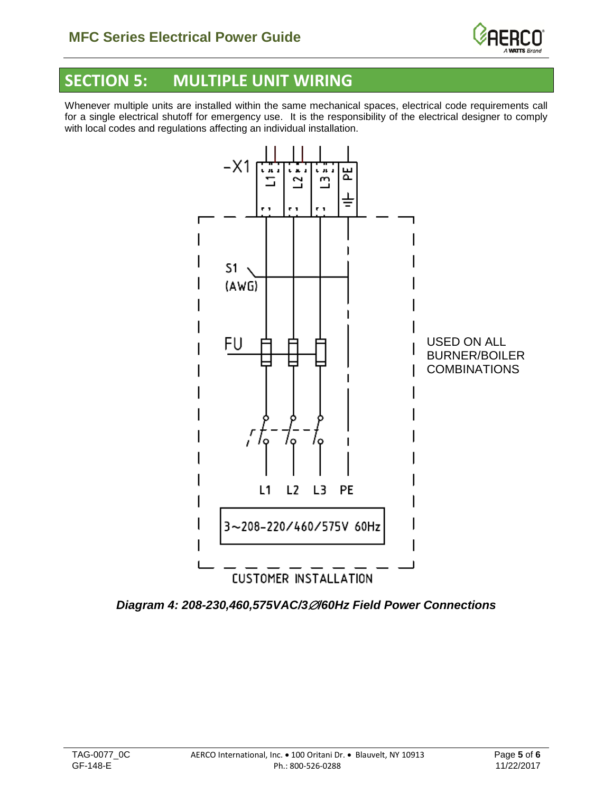

#### **SECTION 5: MULTIPLE UNIT WIRING**

Whenever multiple units are installed within the same mechanical spaces, electrical code requirements call for a single electrical shutoff for emergency use. It is the responsibility of the electrical designer to comply with local codes and regulations affecting an individual installation.



*Diagram 4: 208-230,460,575VAC/3*∅*/60Hz Field Power Connections*